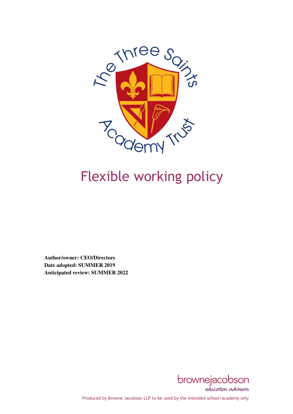

# **Flexible working policy**

**Author/owner: CEO/Directors Date adopted: SUMMER 2019 Anticipated review: SUMMER 2022** 



Produced by Browne Jacobson LLP to be used by the intended school/academy only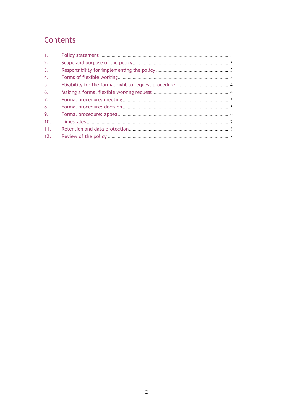# Contents

| $\mathbf{1}$ .   |  |
|------------------|--|
| 2.               |  |
| $\overline{3}$ . |  |
| $\overline{4}$ . |  |
| 5.               |  |
| 6.               |  |
| 7.               |  |
| 8.               |  |
| 9.               |  |
| 10.              |  |
| 11.              |  |
| 12.              |  |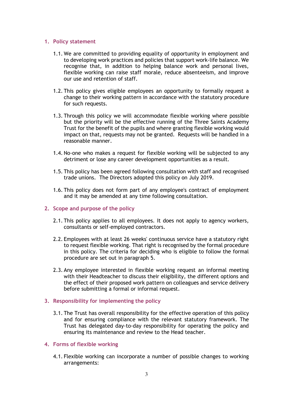#### 1. Policy statement

- 1.1. We are committed to providing equality of opportunity in employment and to developing work practices and policies that support work-life balance. We recognise that, in addition to helping balance work and personal lives, flexible working can raise staff morale, reduce absenteeism, and improve our use and retention of staff.
- 1.2. This policy gives eligible employees an opportunity to formally request a change to their working pattern in accordance with the statutory procedure for such requests.
- 1.3. Through this policy we will accommodate flexible working where possible but the priority will be the effective running of the Three Saints Academy Trust for the benefit of the pupils and where granting flexible working would impact on that, requests may not be granted. Requests will be handled in a reasonable manner.
- 1.4. No-one who makes a request for flexible working will be subjected to any detriment or lose any career development opportunities as a result.
- 1.5. This policy has been agreed following consultation with staff and recognised trade unions. The Directors adopted this policy on July 2019.
- 1.6. This policy does not form part of any employee's contract of employment and it may be amended at any time following consultation.

#### 2. Scope and purpose of the policy

- 2.1. This policy applies to all employees. It does not apply to agency workers, consultants or self-employed contractors.
- 2.2. Employees with at least 26 weeks' continuous service have a statutory right to request flexible working. That right is recognised by the formal procedure in this policy. The criteria for deciding who is eligible to follow the formal procedure are set out in paragraph 5.
- 2.3. Any employee interested in flexible working request an informal meeting with their Headteacher to discuss their eligibility, the different options and the effect of their proposed work pattern on colleagues and service delivery before submitting a formal or informal request.

#### 3. Responsibility for implementing the policy

3.1. The Trust has overall responsibility for the effective operation of this policy and for ensuring compliance with the relevant statutory framework. The Trust has delegated day-to-day responsibility for operating the policy and ensuring its maintenance and review to the Head teacher.

# 4. Forms of flexible working

4.1. Flexible working can incorporate a number of possible changes to working arrangements: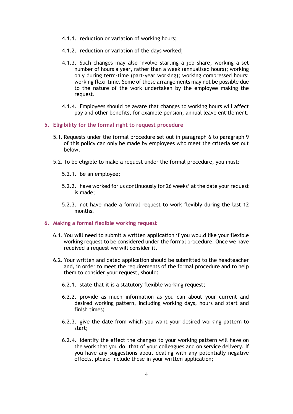- 4.1.1. reduction or variation of working hours;
- 4.1.2. reduction or variation of the days worked;
- 4.1.3. Such changes may also involve starting a job share; working a set number of hours a year, rather than a week (annualised hours); working only during term-time (part-year working); working compressed hours; working flexi-time. Some of these arrangements may not be possible due to the nature of the work undertaken by the employee making the request.
- 4.1.4. Employees should be aware that changes to working hours will affect pay and other benefits, for example pension, annual leave entitlement.
- 5. Eligibility for the formal right to request procedure
	- 5.1. Requests under the formal procedure set out in paragraph 6 to paragraph 9 of this policy can only be made by employees who meet the criteria set out below.
	- 5.2. To be eligible to make a request under the formal procedure, you must:
		- 5.2.1. be an employee;
		- 5.2.2. have worked for us continuously for 26 weeks' at the date your request is made;
		- 5.2.3. not have made a formal request to work flexibly during the last 12 months.

# 6. Making a formal flexible working request

- 6.1. You will need to submit a written application if you would like your flexible working request to be considered under the formal procedure. Once we have received a request we will consider it.
- 6.2. Your written and dated application should be submitted to the headteacher and, in order to meet the requirements of the formal procedure and to help them to consider your request, should:
	- 6.2.1. state that it is a statutory flexible working request;
	- 6.2.2. provide as much information as you can about your current and desired working pattern, including working days, hours and start and finish times;
	- 6.2.3. give the date from which you want your desired working pattern to start;
	- 6.2.4. identify the effect the changes to your working pattern will have on the work that you do, that of your colleagues and on service delivery. If you have any suggestions about dealing with any potentially negative effects, please include these in your written application;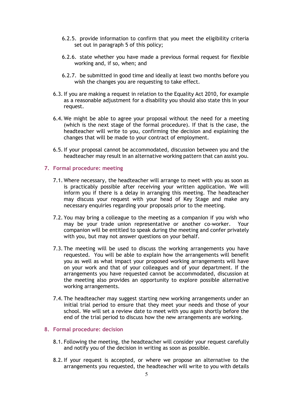- 6.2.5. provide information to confirm that you meet the eligibility criteria set out in paragraph 5 of this policy;
- 6.2.6. state whether you have made a previous formal request for flexible working and, if so, when; and
- 6.2.7. be submitted in good time and ideally at least two months before you wish the changes you are requesting to take effect.
- 6.3.If you are making a request in relation to the Equality Act 2010, for example as a reasonable adjustment for a disability you should also state this in your request.
- 6.4. We might be able to agree your proposal without the need for a meeting (which is the next stage of the formal procedure). If that is the case, the headteacher will write to you, confirming the decision and explaining the changes that will be made to your contract of employment.
- 6.5.If your proposal cannot be accommodated, discussion between you and the headteacher may result in an alternative working pattern that can assist you.

#### 7. Formal procedure: meeting

- 7.1. Where necessary, the headteacher will arrange to meet with you as soon as is practicably possible after receiving your written application. We will inform you if there is a delay in arranging this meeting. The headteacher may discuss your request with your head of Key Stage and make any necessary enquiries regarding your proposals prior to the meeting.
- 7.2. You may bring a colleague to the meeting as a companion if you wish who may be your trade union representative or another co-worker. Your companion will be entitled to speak during the meeting and confer privately with you, but may not answer questions on your behalf.
- 7.3. The meeting will be used to discuss the working arrangements you have requested. You will be able to explain how the arrangements will benefit you as well as what impact your proposed working arrangements will have on your work and that of your colleagues and of your department. If the arrangements you have requested cannot be accommodated, discussion at the meeting also provides an opportunity to explore possible alternative working arrangements.
- 7.4. The headteacher may suggest starting new working arrangements under an initial trial period to ensure that they meet your needs and those of your school. We will set a review date to meet with you again shortly before the end of the trial period to discuss how the new arrangements are working.

#### 8. Formal procedure: decision

- 8.1. Following the meeting, the headteacher will consider your request carefully and notify you of the decision in writing as soon as possible.
- 8.2.If your request is accepted, or where we propose an alternative to the arrangements you requested, the headteacher will write to you with details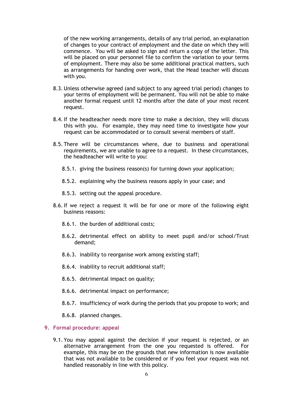of the new working arrangements, details of any trial period, an explanation of changes to your contract of employment and the date on which they will commence. You will be asked to sign and return a copy of the letter. This will be placed on your personnel file to confirm the variation to your terms of employment. There may also be some additional practical matters, such as arrangements for handing over work, that the Head teacher will discuss with you.

- 8.3. Unless otherwise agreed (and subject to any agreed trial period) changes to your terms of employment will be permanent. You will not be able to make another formal request until 12 months after the date of your most recent request.
- 8.4.If the headteacher needs more time to make a decision, they will discuss this with you. For example, they may need time to investigate how your request can be accommodated or to consult several members of staff.
- 8.5. There will be circumstances where, due to business and operational requirements, we are unable to agree to a request. In these circumstances, the headteacher will write to you:
	- 8.5.1. giving the business reason(s) for turning down your application;
	- 8.5.2. explaining why the business reasons apply in your case; and
	- 8.5.3. setting out the appeal procedure.
- 8.6.If we reject a request it will be for one or more of the following eight business reasons:
	- 8.6.1. the burden of additional costs;
	- 8.6.2. detrimental effect on ability to meet pupil and/or school/Trust demand;
	- 8.6.3. inability to reorganise work among existing staff;
	- 8.6.4. inability to recruit additional staff;
	- 8.6.5. detrimental impact on quality;
	- 8.6.6. detrimental impact on performance;
	- 8.6.7. insufficiency of work during the periods that you propose to work; and
	- 8.6.8. planned changes.

# 9. Formal procedure: appeal

9.1. You may appeal against the decision if your request is rejected, or an alternative arrangement from the one you requested is offered. For example, this may be on the grounds that new information is now available that was not available to be considered or if you feel your request was not handled reasonably in line with this policy.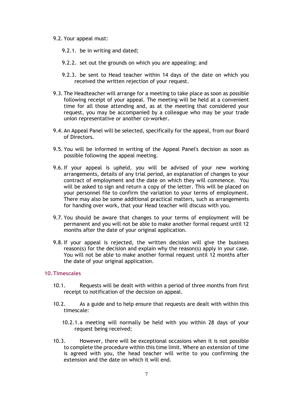#### 9.2. Your appeal must:

- 9.2.1. be in writing and dated;
- 9.2.2. set out the grounds on which you are appealing; and
- 9.2.3. be sent to Head teacher within 14 days of the date on which you received the written rejection of your request.
- 9.3. The Headteacher will arrange for a meeting to take place as soon as possible following receipt of your appeal. The meeting will be held at a convenient time for all those attending and, as at the meeting that considered your request, you may be accompanied by a colleague who may be your trade union representative or another co-worker.
- 9.4. An Appeal Panel will be selected, specifically for the appeal, from our Board of Directors.
- 9.5. You will be informed in writing of the Appeal Panel's decision as soon as possible following the appeal meeting.
- 9.6.If your appeal is upheld, you will be advised of your new working arrangements, details of any trial period, an explanation of changes to your contract of employment and the date on which they will commence. You will be asked to sign and return a copy of the letter. This will be placed on your personnel file to confirm the variation to your terms of employment. There may also be some additional practical matters, such as arrangements for handing over work, that your Head teacher will discuss with you.
- 9.7. You should be aware that changes to your terms of employment will be permanent and you will not be able to make another formal request until 12 months after the date of your original application.
- 9.8.If your appeal is rejected, the written decision will give the business reason(s) for the decision and explain why the reason(s) apply in your case. You will not be able to make another formal request until 12 months after the date of your original application.

#### 10.Timescales

- 10.1. Requests will be dealt with within a period of three months from first receipt to notification of the decision on appeal.
- 10.2. As a guide and to help ensure that requests are dealt with within this timescale:
	- 10.2.1.a meeting will normally be held with you within 28 days of your request being received;
- 10.3. However, there will be exceptional occasions when it is not possible to complete the procedure within this time limit. Where an extension of time is agreed with you, the head teacher will write to you confirming the extension and the date on which it will end.